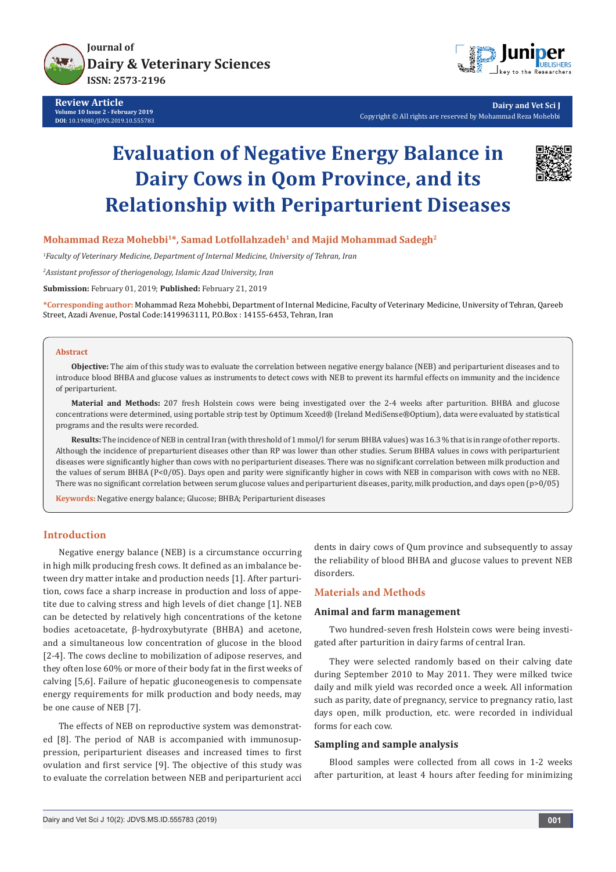

**Review Article Volume 10 Issue 2 - February 2019 DOI**: [10.19080/JDVS.2019.10.555783](http://dx.doi.org/10.19080/JDVS.2019.10.555783)



**Dairy and Vet Sci J** Copyright © All rights are reserved by Mohammad Reza Mohebbi

# **Evaluation of Negative Energy Balance in Dairy Cows in Qom Province, and its Relationship with Periparturient Diseases**



**Mohammad Reza Mohebbi1\*, Samad Lotfollahzadeh1 and Majid Mohammad Sadegh2**

*1 Faculty of Veterinary Medicine, Department of Internal Medicine, University of Tehran, Iran*

*2 Assistant professor of theriogenology, Islamic Azad University, Iran*

**Submission:** February 01, 2019; **Published:** February 21, 2019

**\*Corresponding author:** Mohammad Reza Mohebbi, Department of Internal Medicine, Faculty of Veterinary Medicine, University of Tehran, Qareeb Street, Azadi Avenue, Postal Code:1419963111, P.O.Box : 14155-6453, Tehran, Iran

#### **Abstract**

**Objective:** The aim of this study was to evaluate the correlation between negative energy balance (NEB) and periparturient diseases and to introduce blood BHBA and glucose values as instruments to detect cows with NEB to prevent its harmful effects on immunity and the incidence of periparturient.

**Material and Methods:** 207 fresh Holstein cows were being investigated over the 2-4 weeks after parturition. BHBA and glucose concentrations were determined, using portable strip test by Optimum Xceed® (Ireland MediSense®Optium), data were evaluated by statistical programs and the results were recorded.

**Results:** The incidence of NEB in central Iran (with threshold of 1 mmol/l for serum BHBA values) was 16.3 % that is in range of other reports. Although the incidence of preparturient diseases other than RP was lower than other studies. Serum BHBA values in cows with periparturient diseases were significantly higher than cows with no periparturient diseases. There was no significant correlation between milk production and the values of serum BHBA (P<0/05). Days open and parity were significantly higher in cows with NEB in comparison with cows with no NEB. There was no significant correlation between serum glucose values and periparturient diseases, parity, milk production, and days open (p>0/05)

**Keywords:** Negative energy balance; Glucose; BHBA; Periparturient diseases

## **Introduction**

Negative energy balance (NEB) is a circumstance occurring in high milk producing fresh cows. It defined as an imbalance between dry matter intake and production needs [1]. After parturition, cows face a sharp increase in production and loss of appetite due to calving stress and high levels of diet change [1]. NEB can be detected by relatively high concentrations of the ketone bodies acetoacetate, β-hydroxybutyrate (BHBA) and acetone, and a simultaneous low concentration of glucose in the blood [2-4]. The cows decline to mobilization of adipose reserves, and they often lose 60% or more of their body fat in the first weeks of calving [5,6]. Failure of hepatic gluconeogenesis to compensate energy requirements for milk production and body needs, may be one cause of NEB [7].

The effects of NEB on reproductive system was demonstrated [8]. The period of NAB is accompanied with immunosuppression, periparturient diseases and increased times to first ovulation and first service [9]. The objective of this study was to evaluate the correlation between NEB and periparturient acci dents in dairy cows of Qum province and subsequently to assay the reliability of blood BHBA and glucose values to prevent NEB disorders.

#### **Materials and Methods**

## **Animal and farm management**

Two hundred-seven fresh Holstein cows were being investigated after parturition in dairy farms of central Iran.

They were selected randomly based on their calving date during September 2010 to May 2011. They were milked twice daily and milk yield was recorded once a week. All information such as parity, date of pregnancy, service to pregnancy ratio, last days open, milk production, etc. were recorded in individual forms for each cow.

## **Sampling and sample analysis**

Blood samples were collected from all cows in 1-2 weeks after parturition, at least 4 hours after feeding for minimizing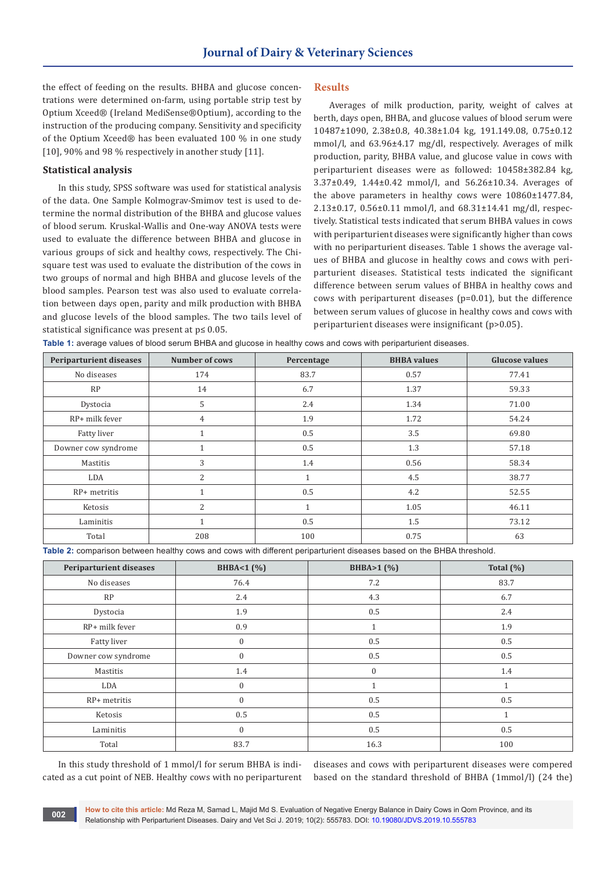the effect of feeding on the results. BHBA and glucose concentrations were determined on-farm, using portable strip test by Optium Xceed® (Ireland MediSense®Optium), according to the instruction of the producing company. Sensitivity and specificity of the Optium Xceed® has been evaluated 100 % in one study [10], 90% and 98 % respectively in another study [11].

#### **Statistical analysis**

In this study, SPSS software was used for statistical analysis of the data. One Sample Kolmograv-Smimov test is used to determine the normal distribution of the BHBA and glucose values of blood serum. Kruskal-Wallis and One-way ANOVA tests were used to evaluate the difference between BHBA and glucose in various groups of sick and healthy cows, respectively. The Chisquare test was used to evaluate the distribution of the cows in two groups of normal and high BHBA and glucose levels of the blood samples. Pearson test was also used to evaluate correlation between days open, parity and milk production with BHBA and glucose levels of the blood samples. The two tails level of statistical significance was present at p≤ 0.05.

#### **Results**

Averages of milk production, parity, weight of calves at berth, days open, BHBA, and glucose values of blood serum were 10487±1090, 2.38±0.8, 40.38±1.04 kg, 191.149.08, 0.75±0.12 mmol/l, and 63.96±4.17 mg/dl, respectively. Averages of milk production, parity, BHBA value, and glucose value in cows with periparturient diseases were as followed: 10458±382.84 kg, 3.37±0.49, 1.44±0.42 mmol/l, and 56.26±10.34. Averages of the above parameters in healthy cows were 10860±1477.84, 2.13±0.17, 0.56±0.11 mmol/l, and 68.31±14.41 mg/dl, respectively. Statistical tests indicated that serum BHBA values in cows with periparturient diseases were significantly higher than cows with no periparturient diseases. Table 1 shows the average values of BHBA and glucose in healthy cows and cows with periparturient diseases. Statistical tests indicated the significant difference between serum values of BHBA in healthy cows and cows with periparturent diseases (p=0.01), but the difference between serum values of glucose in healthy cows and cows with periparturient diseases were insignificant (p>0.05).

**Table 1:** average values of blood serum BHBA and glucose in healthy cows and cows with periparturient diseases.

| <b>Periparturient diseases</b> | <b>Number of cows</b> | Percentage | <b>BHBA</b> values | <b>Glucose values</b> |
|--------------------------------|-----------------------|------------|--------------------|-----------------------|
| No diseases                    | 174                   | 83.7       | 0.57               | 77.41                 |
| RP                             | 14                    | 6.7        | 1.37               | 59.33                 |
| Dystocia                       | 5                     | 2.4        | 1.34               | 71.00                 |
| RP+ milk fever                 | $\overline{4}$        | 1.9        | 1.72               | 54.24                 |
| Fatty liver                    | $\overline{1}$        | 0.5        | 3.5                | 69.80                 |
| Downer cow syndrome            | 1                     | 0.5        | 1.3                | 57.18                 |
| Mastitis                       | 3                     | 1.4        | 0.56               | 58.34                 |
| LDA                            | $\overline{2}$        |            | 4.5                | 38.77                 |
| $RP+$ metritis                 | 1                     | 0.5        | 4.2                | 52.55                 |
| Ketosis                        | $\overline{2}$        |            | 1.05               | 46.11                 |
| Laminitis                      | $\mathbf{1}$          | 0.5        | 1.5                | 73.12                 |
| Total                          | 208                   | 100        | 0.75               | 63                    |

**Table 2:** comparison between healthy cows and cows with different periparturient diseases based on the BHBA threshold.

| Periparturient diseases | BHBA<1 (%)   | BHBA>1(%)      | Total $(\%)$ |
|-------------------------|--------------|----------------|--------------|
| No diseases             | 76.4         | 7.2            | 83.7         |
| RP                      | 2.4          | 4.3            | 6.7          |
| Dystocia                | 1.9          | 0.5            | 2.4          |
| RP+ milk fever          | 0.9          | 1              | 1.9          |
| Fatty liver             | $\mathbf{0}$ | 0.5            | 0.5          |
| Downer cow syndrome     | $\mathbf{0}$ | 0.5            | 0.5          |
| Mastitis                | 1.4          | $\mathbf{0}$   | 1.4          |
| LDA                     | $\mathbf{0}$ | $\overline{1}$ | $\mathbf{1}$ |
| RP+ metritis            | $\Omega$     | 0.5            | 0.5          |
| Ketosis                 | 0.5          | 0.5            | $\mathbf{1}$ |
| Laminitis               | $\mathbf{0}$ | 0.5            | 0.5          |
| Total                   | 83.7         | 16.3           | 100          |

In this study threshold of 1 mmol/l for serum BHBA is indicated as a cut point of NEB. Healthy cows with no periparturent

diseases and cows with periparturent diseases were compered based on the standard threshold of BHBA (1mmol/l) (24 the)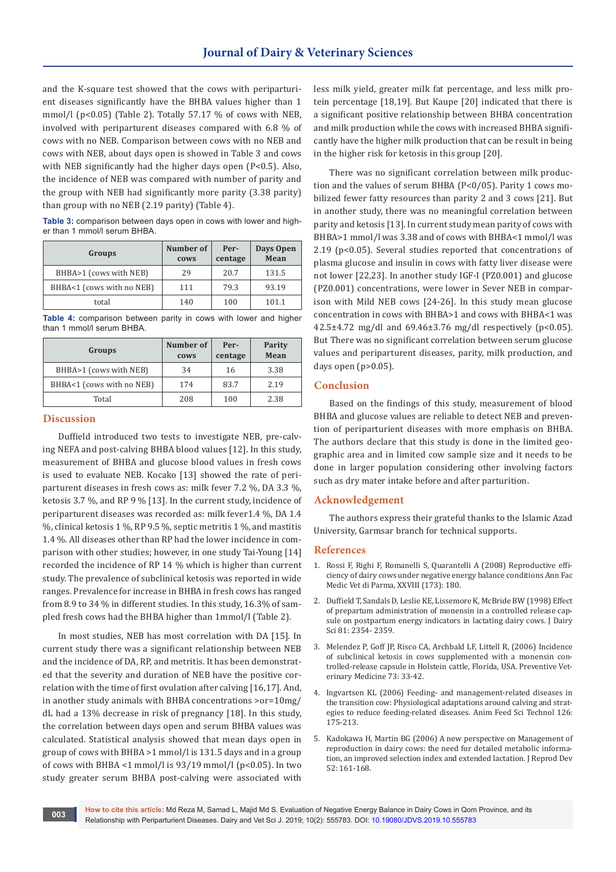and the K-square test showed that the cows with periparturient diseases significantly have the BHBA values higher than 1 mmol/l ( $p<0.05$ ) (Table 2). Totally 57.17 % of cows with NEB, involved with periparturent diseases compared with 6.8 % of cows with no NEB. Comparison between cows with no NEB and cows with NEB, about days open is showed in Table 3 and cows with NEB significantly had the higher days open (P<0.5). Also, the incidence of NEB was compared with number of parity and the group with NEB had significantly more parity (3.38 parity) than group with no NEB (2.19 parity) (Table 4).

**Table 3:** comparison between days open in cows with lower and higher than 1 mmol/l serum BHBA.

| Groups                    | Number of<br>cows | Per-<br>centage | Days Open<br>Mean |
|---------------------------|-------------------|-----------------|-------------------|
| BHBA>1 (cows with NEB)    | 29                | 20.7            | 131.5             |
| BHBA<1 (cows with no NEB) | 111               | 79.3            | 93.19             |
| total                     | 140               | 100             | 101.1             |

**Table 4:** comparison between parity in cows with lower and higher than 1 mmol/l serum BHBA.

| Groups                    | Number of<br>cows | Per-<br>centage | Parity<br>Mean |
|---------------------------|-------------------|-----------------|----------------|
| BHBA>1 (cows with NEB)    | 34                | 16              | 3.38           |
| BHBA<1 (cows with no NEB) | 174               | 83.7            | 2.19           |
| Total                     | 208               | 100             | 2.38           |

## **Discussion**

Duffield introduced two tests to investigate NEB, pre-calving NEFA and post-calving BHBA blood values [12]. In this study, measurement of BHBA and glucose blood values in fresh cows is used to evaluate NEB. Kocako [13] showed the rate of periparturent diseases in fresh cows as: milk fever 7.2 %, DA 3.3 %, ketosis 3.7 %, and RP 9 % [13]. In the current study, incidence of periparturent diseases was recorded as: milk fever1.4 %, DA 1.4 %, clinical ketosis 1 %, RP 9.5 %, septic metritis 1 %, and mastitis 1.4 %. All diseases other than RP had the lower incidence in comparison with other studies; however, in one study Tai-Young [14] recorded the incidence of RP 14 % which is higher than current study. The prevalence of subclinical ketosis was reported in wide ranges. Prevalence for increase in BHBA in fresh cows has ranged from 8.9 to 34 % in different studies. In this study, 16.3% of sampled fresh cows had the BHBA higher than 1mmol/l (Table 2).

In most studies, NEB has most correlation with DA [15]. In current study there was a significant relationship between NEB and the incidence of DA, RP, and metritis. It has been demonstrated that the severity and duration of NEB have the positive correlation with the time of first ovulation after calving [16,17]. And, in another study animals with BHBA concentrations >or=10mg/ dL had a 13% decrease in risk of pregnancy [18]. In this study, the correlation between days open and serum BHBA values was calculated. Statistical analysis showed that mean days open in group of cows with BHBA >1 mmol/l is 131.5 days and in a group of cows with BHBA <1 mmol/l is 93/19 mmol/l (p<0.05). In two study greater serum BHBA post-calving were associated with less milk yield, greater milk fat percentage, and less milk protein percentage [18,19]. But Kaupe [20] indicated that there is a significant positive relationship between BHBA concentration and milk production while the cows with increased BHBA significantly have the higher milk production that can be result in being in the higher risk for ketosis in this group [20].

There was no significant correlation between milk production and the values of serum BHBA (P<0/05). Parity 1 cows mobilized fewer fatty resources than parity 2 and 3 cows [21]. But in another study, there was no meaningful correlation between parity and ketosis [13]. In current study mean parity of cows with BHBA>1 mmol/l was 3.38 and of cows with BHBA<1 mmol/l was 2.19 (p<0.05). Several studies reported that concentrations of plasma glucose and insulin in cows with fatty liver disease were not lower [22,23]. In another study IGF-I (PZ0.001) and glucose (PZ0.001) concentrations, were lower in Sever NEB in comparison with Mild NEB cows [24-26]. In this study mean glucose concentration in cows with BHBA>1 and cows with BHBA<1 was 42.5 $\pm$ 4.72 mg/dl and 69.46 $\pm$ 3.76 mg/dl respectively (p<0.05). But There was no significant correlation between serum glucose values and periparturent diseases, parity, milk production, and days open  $(p>0.05)$ .

## **Conclusion**

Based on the findings of this study, measurement of blood BHBA and glucose values are reliable to detect NEB and prevention of periparturient diseases with more emphasis on BHBA. The authors declare that this study is done in the limited geographic area and in limited cow sample size and it needs to be done in larger population considering other involving factors such as dry mater intake before and after parturition.

### **Acknowledgement**

The authors express their grateful thanks to the Islamic Azad University, Garmsar branch for technical supports.

#### **References**

- 1. Rossi F, Righi F, Romanelli S, Quarantelli A (2008) Reproductive efficiency of dairy cows under negative energy balance conditions Ann Fac Medic Vet di Parma, XXVIII (173): 180.
- 2. [Duffield T, Sandals D, Leslie KE, Lissemore K, McBride BW \(1998\) Effect](https://www.ncbi.nlm.nih.gov/pubmed/9785226)  [of prepartum administration of monensin in a controlled release cap](https://www.ncbi.nlm.nih.gov/pubmed/9785226)[sule on postpartum energy indicators in lactating dairy cows. J Dairy](https://www.ncbi.nlm.nih.gov/pubmed/9785226)  [Sci 81: 2354- 2359.](https://www.ncbi.nlm.nih.gov/pubmed/9785226)
- 3. [Melendez P, Goff JP, Risco CA, Archbald LF, Littell R, \(2006\) Incidence](https://www.ncbi.nlm.nih.gov/pubmed/16202461)  [of subclinical ketosis in cows supplemented with a monensin con](https://www.ncbi.nlm.nih.gov/pubmed/16202461)[trolled-release capsule in Holstein cattle, Florida, USA. Preventive Vet](https://www.ncbi.nlm.nih.gov/pubmed/16202461)[erinary Medicine 73: 33-42.](https://www.ncbi.nlm.nih.gov/pubmed/16202461)
- 4. [Ingvartsen KL \(2006\) Feeding- and management-related diseases in](https://www.sciencedirect.com/science/article/pii/S0377840105003184)  [the transition cow: Physiological adaptations around calving and strat](https://www.sciencedirect.com/science/article/pii/S0377840105003184)[egies to reduce feeding-related diseases. Anim Feed Sci Technol 126:](https://www.sciencedirect.com/science/article/pii/S0377840105003184)  [175-213.](https://www.sciencedirect.com/science/article/pii/S0377840105003184)
- 5. [Kadokawa H, Martin BG \(2006\) A new perspective on Management of](https://www.ncbi.nlm.nih.gov/pubmed/16538035)  [reproduction in dairy cows: the need for detailed metabolic informa](https://www.ncbi.nlm.nih.gov/pubmed/16538035)[tion, an improved selection index and extended lactation. J Reprod Dev](https://www.ncbi.nlm.nih.gov/pubmed/16538035)  [52: 161-168.](https://www.ncbi.nlm.nih.gov/pubmed/16538035)